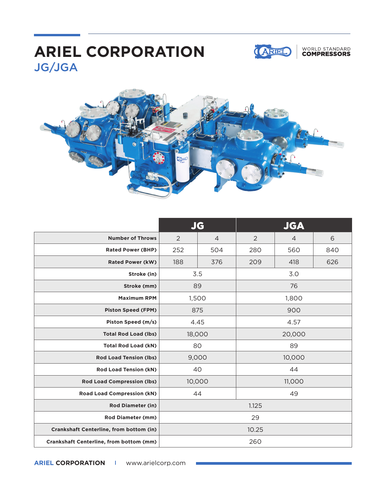## JG/JGA **ARIEL CORPORATION**



### WORLD STANDARD<br>**COMPRESSORS**



|                                                | <b>JG</b>      |                | <b>JGA</b>     |                |     |
|------------------------------------------------|----------------|----------------|----------------|----------------|-----|
| <b>Number of Throws</b>                        | $\overline{2}$ | $\overline{4}$ | $\overline{2}$ | $\overline{4}$ | 6   |
| <b>Rated Power (BHP)</b>                       | 252            | 504            | 280            | 560            | 840 |
| <b>Rated Power (kW)</b>                        | 188            | 376            | 209            | 418            | 626 |
| Stroke (in)                                    | 3.5            |                | 3.0            |                |     |
| Stroke (mm)                                    | 89             |                | 76             |                |     |
| <b>Maximum RPM</b>                             | 1,500          |                | 1,800          |                |     |
| <b>Piston Speed (FPM)</b>                      | 875            |                | 900            |                |     |
| Piston Speed (m/s)                             | 4.45           |                | 4.57           |                |     |
| <b>Total Rod Load (lbs)</b>                    | 18,000         |                | 20,000         |                |     |
| <b>Total Rod Load (kN)</b>                     | 80             |                | 89             |                |     |
| <b>Rod Load Tension (lbs)</b>                  | 9,000          |                | 10,000         |                |     |
| <b>Rod Load Tension (kN)</b>                   | 40             |                | 44             |                |     |
| <b>Rod Load Compression (lbs)</b>              | 10,000         |                | 11,000         |                |     |
| <b>Road Load Compression (kN)</b>              | 44             |                | 49             |                |     |
| <b>Rod Diameter (in)</b>                       | 1.125          |                |                |                |     |
| <b>Rod Diameter (mm)</b>                       | 29             |                |                |                |     |
| <b>Crankshaft Centerline, from bottom (in)</b> | 10.25          |                |                |                |     |
| <b>Crankshaft Centerline, from bottom (mm)</b> | 260            |                |                |                |     |